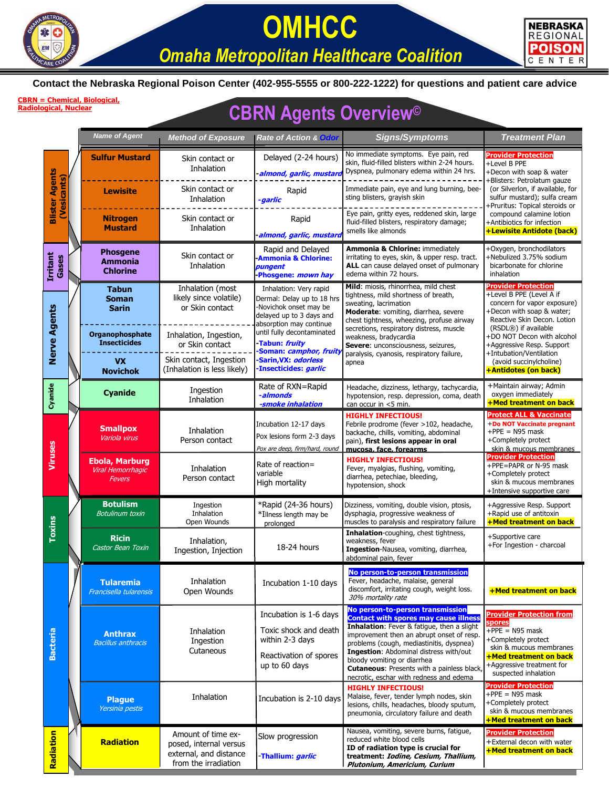

## **OMHCC**





**Contact the Nebraska Regional Poison Center (402-955-5555 or 800-222-1222) for questions and patient care advice**

**CBRN = Chemical, Biological, Radiological, Nuclear**

## **CBRN Agents Overview©**

|                                      |  | <b>Name of Agent</b>                                        | <b>Method of Exposure</b>                                                                      | <b>Rate of Action &amp; Odor</b>                                                                                                      | <b>Signs/Symptoms</b>                                                                                                                                                                                                                                                                                                                                                                            | <b>Treatment Plan</b>                                                                                                                                                                                          |
|--------------------------------------|--|-------------------------------------------------------------|------------------------------------------------------------------------------------------------|---------------------------------------------------------------------------------------------------------------------------------------|--------------------------------------------------------------------------------------------------------------------------------------------------------------------------------------------------------------------------------------------------------------------------------------------------------------------------------------------------------------------------------------------------|----------------------------------------------------------------------------------------------------------------------------------------------------------------------------------------------------------------|
| <b>Blister Agents</b><br>(Vesicants) |  | <b>Sulfur Mustard</b>                                       | Skin contact or<br>Inhalation                                                                  | Delayed (2-24 hours)<br>almond, garlic, mustar                                                                                        | No immediate symptoms. Eye pain, red<br>skin, fluid-filled blisters within 2-24 hours.<br>Dyspnea, pulmonary edema within 24 hrs.                                                                                                                                                                                                                                                                | <b>Provider Protection</b><br>+Level B PPE<br>+Decon with soap & water<br>+Blisters: Petrolatum gauze<br>(or Silverlon, if available, for<br>sulfur mustard); sulfa cream<br>+Pruritus: Topical steroids or    |
|                                      |  | <b>Lewisite</b>                                             | Skin contact or<br>Inhalation                                                                  | Rapid<br>-garlic                                                                                                                      | Immediate pain, eye and lung burning, bee-<br>sting blisters, grayish skin                                                                                                                                                                                                                                                                                                                       |                                                                                                                                                                                                                |
|                                      |  | <b>Nitrogen</b><br><b>Mustard</b>                           | Skin contact or<br>Inhalation                                                                  | Rapid<br>-almond, garlic, mustard                                                                                                     | Eye pain, gritty eyes, reddened skin, large<br>fluid-filled blisters, respiratory damage;<br>smells like almonds                                                                                                                                                                                                                                                                                 | compound calamine lotion<br>+Antibiotics for infection<br><b>+Lewisite Antidote (back)</b>                                                                                                                     |
| <b>Irritant</b><br>Gases             |  | <b>Phosgene</b><br><b>Ammonia</b><br><b>Chlorine</b>        | Skin contact or<br>Inhalation                                                                  | Rapid and Delayed<br><b>Ammonia &amp; Chlorine:</b><br>pungent<br>Phosgene: mown hay                                                  | <b>Ammonia &amp; Chlorine: immediately</b><br>irritating to eyes, skin, & upper resp. tract.<br>ALL can cause delayed onset of pulmonary<br>edema within 72 hours.                                                                                                                                                                                                                               | +Oxygen, bronchodilators<br>+Nebulized 3.75% sodium<br>bicarbonate for chlorine<br>inhalation                                                                                                                  |
|                                      |  | <b>Tabun</b><br><b>Soman</b><br><b>Sarin</b>                | Inhalation (most<br>likely since volatile)<br>or Skin contact                                  | Inhalation: Very rapid<br>Dermal: Delay up to 18 hrs<br>-Novichok onset may be<br>delayed up to 3 days and<br>absorption may continue | Mild: miosis, rhinorrhea, mild chest<br>tightness, mild shortness of breath,<br>sweating, lacrimation<br>Moderate: vomiting, diarrhea, severe<br>chest tightness, wheezing, profuse airway                                                                                                                                                                                                       | <u>Provider Protection</u><br>+Level B PPE (Level A if<br>concern for vapor exposure)<br>+Decon with soap & water;<br>Reactive Skin Decon. Lotion                                                              |
| Nerve Agents                         |  | <b>Organophosphate</b><br><b>Insecticides</b>               | Inhalation, Ingestion,<br>or Skin contact                                                      | until fully decontaminated<br>Tabun: fruity<br>Soman: <i>camphor, fruity</i>                                                          | secretions, respiratory distress, muscle<br>weakness, bradycardia<br>Severe: unconsciousness, seizures,<br>paralysis, cyanosis, respiratory failure,                                                                                                                                                                                                                                             | (RSDL®) if available<br>+DO NOT Decon with alcohol<br>+Aggressive Resp. Support<br>+Intubation/Ventilation                                                                                                     |
|                                      |  | <b>VX</b><br><b>Novichok</b>                                | Skin contact, Ingestion<br>(Inhalation is less likely)                                         | -Sarin.VX: <i>odorless</i><br>-Insecticides: garlic                                                                                   | apnea                                                                                                                                                                                                                                                                                                                                                                                            | (avoid succinylcholine)<br><b>+Antidotes (on back)</b>                                                                                                                                                         |
| Cyanide                              |  | <b>Cyanide</b>                                              | Ingestion<br>Inhalation                                                                        | Rate of RXN=Rapid<br>-almonds<br>-smoke inhalation                                                                                    | Headache, dizziness, lethargy, tachycardia,<br>hypotension, resp. depression, coma, death<br>can occur in <5 min.                                                                                                                                                                                                                                                                                | +Maintain airway; Admin<br>oxygen immediately<br>+Med treatment on back                                                                                                                                        |
|                                      |  | <b>Smallpox</b><br>Variola virus                            | Inhalation<br>Person contact                                                                   | Incubation 12-17 days<br>Pox lesions form 2-3 days<br>Pox are deep, firm/hard, round                                                  | <b>HIGHLY INFECTIOUS!</b><br>Febrile prodrome (fever >102, headache,<br>backache, chills, vomiting, abdominal<br>pain), first lesions appear in oral<br>mucosa, face, forearms                                                                                                                                                                                                                   | <b>Protect ALL &amp; Vaccinate</b><br>+Do NOT Vaccinate pregnant<br>$+$ PPE = N95 mask<br>+Completely protect<br>skin & mucous membranes                                                                       |
| Viruses                              |  | <b>Ebola, Marburg</b><br><b>Viral Hemorrhagic</b><br>Fevers | Inhalation<br>Person contact                                                                   | Rate of reaction=<br>variable<br>High mortality                                                                                       | <b>HIGHLY INFECTIOUS!</b><br>Fever, myalgias, flushing, vomiting,<br>diarrhea, petechiae, bleeding,<br>hypotension, shock                                                                                                                                                                                                                                                                        | <b>Provider Protection</b><br>+PPE=PAPR or N-95 mask<br>+Completely protect<br>skin & mucous membranes<br>+Intensive supportive care                                                                           |
| <b>Toxins</b>                        |  | <b>Botulism</b><br><b>Botulinum toxin</b>                   | Ingestion<br>Inhalation<br>Open Wounds                                                         | *Rapid (24-36 hours)<br>*Illness length may be<br>prolonged                                                                           | Dizziness, vomiting, double vision, ptosis,<br>dysphagia, progressive weakness of<br>muscles to paralysis and respiratory failure                                                                                                                                                                                                                                                                | +Aggressive Resp. Support<br>+Rapid use of antitoxin<br>+Med treatment on back                                                                                                                                 |
|                                      |  | <b>Ricin</b><br>Castor Bean Toxin                           | Inhalation,<br>Ingestion, Injection                                                            | 18-24 hours                                                                                                                           | Inhalation-coughing, chest tightness,<br>weakness, fever<br>Ingestion-Nausea, vomiting, diarrhea,<br>abdominal pain, fever                                                                                                                                                                                                                                                                       | +Supportive care<br>+For Ingestion - charcoal                                                                                                                                                                  |
|                                      |  | <b>Tularemia</b><br>Francisella tularensis                  | Inhalation<br>Open Wounds                                                                      | Incubation 1-10 days                                                                                                                  | <b>No person-to-person transmission</b><br>Fever, headache, malaise, general<br>discomfort, irritating cough, weight loss.<br>30% mortality rate                                                                                                                                                                                                                                                 | +Med treatment on back                                                                                                                                                                                         |
| <b>Bacteria</b>                      |  | <b>Anthrax</b><br><b>Bacillus anthracis</b>                 | Inhalation<br>Ingestion<br>Cutaneous                                                           | Incubation is 1-6 days<br>Toxic shock and death<br>within 2-3 days<br>Reactivation of spores<br>up to 60 days                         | No person-to-person transmission<br><b>Contact with spores may cause illness</b><br>Inhalation: Fever & fatigue, then a slight<br>improvement then an abrupt onset of resp.<br>problems (cough, mediastinitis, dyspnea)<br>Ingestion: Abdominal distress with/out<br>bloody vomiting or diarrhea<br><b>Cutaneous:</b> Presents with a painless black,<br>necrotic, eschar with redness and edema | <b>Provider Protection from</b><br><b>spores</b><br>$+$ PPE = N95 mask<br>+Completely protect<br>skin & mucous membranes<br><b>+Med treatment on back</b><br>+Aggressive treatment for<br>suspected inhalation |
|                                      |  | <b>Plaque</b><br>Yersinia pestis                            | Inhalation                                                                                     | Incubation is 2-10 days                                                                                                               | <b>HIGHLY INFECTIOUS!</b><br>Malaise, fever, tender lymph nodes, skin<br>lesions, chills, headaches, bloody sputum,<br>pneumonia, circulatory failure and death                                                                                                                                                                                                                                  | <u>Provider Protection</u><br>$+$ PPE = N95 mask<br>+Completely protect<br>skin & mucous membranes<br>+Med treatment on back                                                                                   |
| Radiation                            |  | <b>Radiation</b>                                            | Amount of time ex-<br>posed, internal versus<br>external, and distance<br>from the irradiation | Slow progression<br>Thallium: garlic                                                                                                  | Nausea, vomiting, severe burns, fatigue,<br>reduced white blood cells<br>ID of radiation type is crucial for<br>treatment: Iodine, Cesium, Thallium,<br>Plutonium, Americium, Curium                                                                                                                                                                                                             | <b>Provider Protection</b><br>+External decon with water<br><b>+Med treatment on back</b>                                                                                                                      |